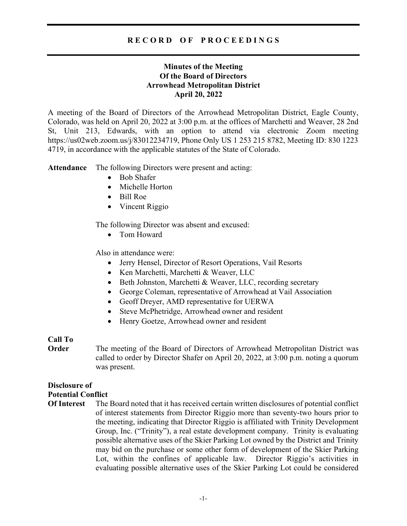## R E C O R D O F P R O C E E D I N G S

## Minutes of the Meeting Of the Board of Directors Arrowhead Metropolitan District April 20, 2022

A meeting of the Board of Directors of the Arrowhead Metropolitan District, Eagle County, Colorado, was held on April 20, 2022 at 3:00 p.m. at the offices of Marchetti and Weaver, 28 2nd St, Unit 213, Edwards, with an option to attend via electronic Zoom meeting https://us02web.zoom.us/j/83012234719, Phone Only US 1 253 215 8782, Meeting ID: 830 1223 4719, in accordance with the applicable statutes of the State of Colorado.

Attendance The following Directors were present and acting:

- Bob Shafer
- Michelle Horton
- Bill Roe
- Vincent Riggio

The following Director was absent and excused:

• Tom Howard

Also in attendance were:

- Jerry Hensel, Director of Resort Operations, Vail Resorts
- Ken Marchetti, Marchetti & Weaver, LLC
- Beth Johnston, Marchetti & Weaver, LLC, recording secretary
- George Coleman, representative of Arrowhead at Vail Association
- Geoff Dreyer, AMD representative for UERWA
- Steve McPhetridge, Arrowhead owner and resident
- Henry Goetze, Arrowhead owner and resident

## Call To

**Order** The meeting of the Board of Directors of Arrowhead Metropolitan District was called to order by Director Shafer on April 20, 2022, at 3:00 p.m. noting a quorum was present.

## Disclosure of

### Potential Conflict

Of Interest The Board noted that it has received certain written disclosures of potential conflict of interest statements from Director Riggio more than seventy-two hours prior to the meeting, indicating that Director Riggio is affiliated with Trinity Development Group, Inc. ("Trinity"), a real estate development company. Trinity is evaluating possible alternative uses of the Skier Parking Lot owned by the District and Trinity may bid on the purchase or some other form of development of the Skier Parking Lot, within the confines of applicable law. Director Riggio's activities in evaluating possible alternative uses of the Skier Parking Lot could be considered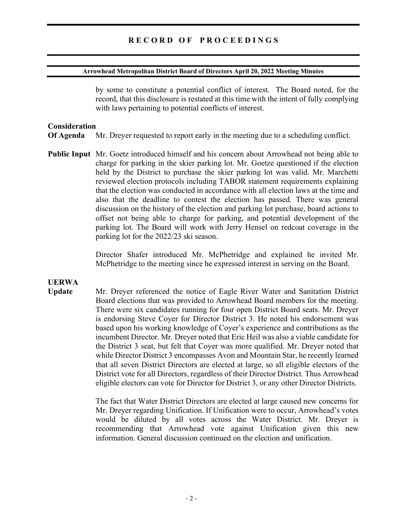#### Arrowhead Metropolitan District Board of Directors April 20, 2022 Meeting Minutes

by some to constitute a potential conflict of interest. The Board noted, for the record, that this disclosure is restated at this time with the intent of fully complying with laws pertaining to potential conflicts of interest.

#### Consideration

Of Agenda Mr. Dreyer requested to report early in the meeting due to a scheduling conflict.

Public Input Mr. Goetz introduced himself and his concern about Arrowhead not being able to charge for parking in the skier parking lot. Mr. Goetze questioned if the election held by the District to purchase the skier parking lot was valid. Mr. Marchetti reviewed election protocols including TABOR statement requirements explaining that the election was conducted in accordance with all election laws at the time and also that the deadline to contest the election has passed. There was general discussion on the history of the election and parking lot purchase, board actions to offset not being able to charge for parking, and potential development of the parking lot. The Board will work with Jerry Hensel on redcoat coverage in the parking lot for the 2022/23 ski season.

> Director Shafer introduced Mr. McPhetridge and explained he invited Mr. McPhetridge to the meeting since he expressed interest in serving on the Board.

# UERWA

Update Mr. Dreyer referenced the notice of Eagle River Water and Sanitation District Board elections that was provided to Arrowhead Board members for the meeting. There were six candidates running for four open District Board seats. Mr. Dreyer is endorsing Steve Coyer for Director District 3. He noted his endorsement was based upon his working knowledge of Coyer's experience and contributions as the incumbent Director. Mr. Dreyer noted that Eric Heil was also a viable candidate for the District 3 seat, but felt that Coyer was more qualified. Mr. Dreyer noted that while Director District 3 encompasses Avon and Mountain Star, he recently learned that all seven District Directors are elected at large, so all eligible electors of the District vote for all Directors, regardless of their Director District. Thus Arrowhead eligible electors can vote for Director for District 3, or any other Director Districts.

> The fact that Water District Directors are elected at large caused new concerns for Mr. Dreyer regarding Unification. If Unification were to occur, Arrowhead's votes would be diluted by all votes across the Water District. Mr. Dreyer is recommending that Arrowhead vote against Unification given this new information. General discussion continued on the election and unification.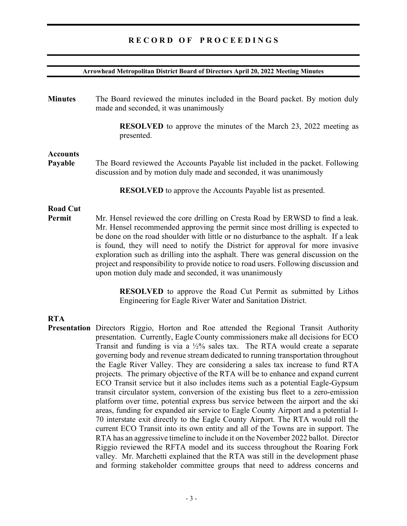## RECORD OF PROCEEDINGS

#### Arrowhead Metropolitan District Board of Directors April 20, 2022 Meeting Minutes

Minutes The Board reviewed the minutes included in the Board packet. By motion duly made and seconded, it was unanimously RESOLVED to approve the minutes of the March 23, 2022 meeting as presented. Accounts Payable The Board reviewed the Accounts Payable list included in the packet. Following discussion and by motion duly made and seconded, it was unanimously RESOLVED to approve the Accounts Payable list as presented. Road Cut Permit Mr. Hensel reviewed the core drilling on Cresta Road by ERWSD to find a leak. Mr. Hensel recommended approving the permit since most drilling is expected to be done on the road shoulder with little or no disturbance to the asphalt. If a leak

is found, they will need to notify the District for approval for more invasive exploration such as drilling into the asphalt. There was general discussion on the project and responsibility to provide notice to road users. Following discussion and upon motion duly made and seconded, it was unanimously

> RESOLVED to approve the Road Cut Permit as submitted by Lithos Engineering for Eagle River Water and Sanitation District.

## RTA

Presentation Directors Riggio, Horton and Roe attended the Regional Transit Authority presentation. Currently, Eagle County commissioners make all decisions for ECO Transit and funding is via a  $\frac{1}{2}\%$  sales tax. The RTA would create a separate governing body and revenue stream dedicated to running transportation throughout the Eagle River Valley. They are considering a sales tax increase to fund RTA projects. The primary objective of the RTA will be to enhance and expand current ECO Transit service but it also includes items such as a potential Eagle-Gypsum transit circulator system, conversion of the existing bus fleet to a zero-emission platform over time, potential express bus service between the airport and the ski areas, funding for expanded air service to Eagle County Airport and a potential I-70 interstate exit directly to the Eagle County Airport. The RTA would roll the current ECO Transit into its own entity and all of the Towns are in support. The RTA has an aggressive timeline to include it on the November 2022 ballot. Director Riggio reviewed the RFTA model and its success throughout the Roaring Fork valley. Mr. Marchetti explained that the RTA was still in the development phase and forming stakeholder committee groups that need to address concerns and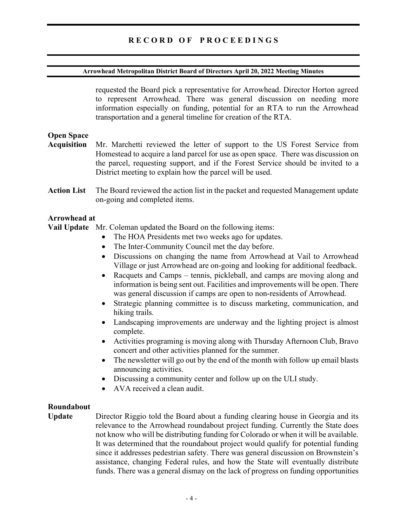#### Arrowhead Metropolitan District Board of Directors April 20, 2022 Meeting Minutes

requested the Board pick a representative for Arrowhead. Director Horton agreed to represent Arrowhead. There was general discussion on needing more information especially on funding, potential for an RTA to run the Arrowhead transportation and a general timeline for creation of the RTA.

## Open Space

- Acquisition Mr. Marchetti reviewed the letter of support to the US Forest Service from Homestead to acquire a land parcel for use as open space. There was discussion on the parcel, requesting support, and if the Forest Service should be invited to a District meeting to explain how the parcel will be used.
- Action List The Board reviewed the action list in the packet and requested Management update on-going and completed items.

## Arrowhead at

Vail Update Mr. Coleman updated the Board on the following items:

- The HOA Presidents met two weeks ago for updates.
- The Inter-Community Council met the day before.
- Discussions on changing the name from Arrowhead at Vail to Arrowhead Village or just Arrowhead are on-going and looking for additional feedback.
- Racquets and Camps tennis, pickleball, and camps are moving along and information is being sent out. Facilities and improvements will be open. There was general discussion if camps are open to non-residents of Arrowhead.
- Strategic planning committee is to discuss marketing, communication, and hiking trails.
- Landscaping improvements are underway and the lighting project is almost complete.
- Activities programing is moving along with Thursday Afternoon Club, Bravo concert and other activities planned for the summer.
- The newsletter will go out by the end of the month with follow up email blasts announcing activities.
- Discussing a community center and follow up on the ULI study.
- AVA received a clean audit.

## Roundabout

Update Director Riggio told the Board about a funding clearing house in Georgia and its relevance to the Arrowhead roundabout project funding. Currently the State does not know who will be distributing funding for Colorado or when it will be available. It was determined that the roundabout project would qualify for potential funding since it addresses pedestrian safety. There was general discussion on Brownstein's assistance, changing Federal rules, and how the State will eventually distribute funds. There was a general dismay on the lack of progress on funding opportunities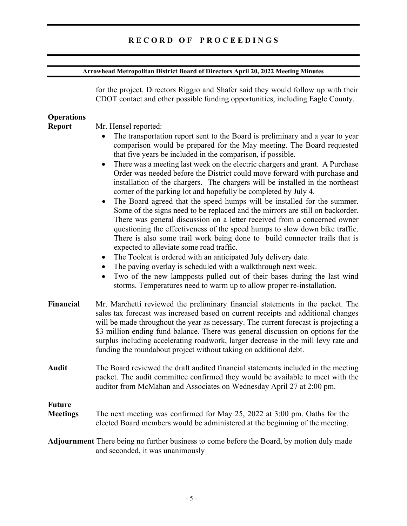#### Arrowhead Metropolitan District Board of Directors April 20, 2022 Meeting Minutes

for the project. Directors Riggio and Shafer said they would follow up with their CDOT contact and other possible funding opportunities, including Eagle County. **Operations** Report Mr. Hensel reported: The transportation report sent to the Board is preliminary and a year to year comparison would be prepared for the May meeting. The Board requested that five years be included in the comparison, if possible. • There was a meeting last week on the electric chargers and grant. A Purchase Order was needed before the District could move forward with purchase and installation of the chargers. The chargers will be installed in the northeast corner of the parking lot and hopefully be completed by July 4. The Board agreed that the speed humps will be installed for the summer. Some of the signs need to be replaced and the mirrors are still on backorder. There was general discussion on a letter received from a concerned owner questioning the effectiveness of the speed humps to slow down bike traffic. There is also some trail work being done to build connector trails that is expected to alleviate some road traffic. • The Toolcat is ordered with an anticipated July delivery date. The paving overlay is scheduled with a walkthrough next week. Two of the new lampposts pulled out of their bases during the last wind storms. Temperatures need to warm up to allow proper re-installation. Financial Mr. Marchetti reviewed the preliminary financial statements in the packet. The sales tax forecast was increased based on current receipts and additional changes will be made throughout the year as necessary. The current forecast is projecting a \$3 million ending fund balance. There was general discussion on options for the surplus including accelerating roadwork, larger decrease in the mill levy rate and funding the roundabout project without taking on additional debt. Audit The Board reviewed the draft audited financial statements included in the meeting packet. The audit committee confirmed they would be available to meet with the auditor from McMahan and Associates on Wednesday April 27 at 2:00 pm. Future Meetings The next meeting was confirmed for May 25, 2022 at 3:00 pm. Oaths for the elected Board members would be administered at the beginning of the meeting. Adjournment There being no further business to come before the Board, by motion duly made and seconded, it was unanimously